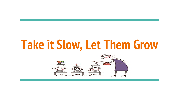# **Take it Slow, Let Them Grow**

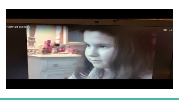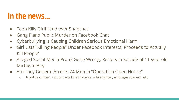### **In the news...**

- Teen Kills Girlfriend over Snapchat
- Gang Plans Public Murder on Facebook Chat
- Cyberbullying is Causing Children Serious Emotional Harm
- Girl Lists "Killing People" Under Facebook Interests; Proceeds to Actually Kill People"
- Alleged Social Media Prank Gone Wrong, Results in Suicide of 11 year old Michigan Boy
- Attorney General Arrests 24 Men in "Operation Open House"
	- A police officer, a public works employee, a firefighter, a college student, etc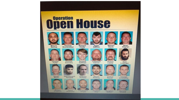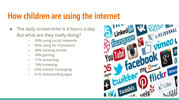### **How children are using the internet**

- The daily screen time is 4 hours a day. But what are they really doing?
	- 59% using social networks
	- 85% using for homework
	- 48% sending emails
	- 78% gaming
	- 71% streaming
	- 74% browsing
	- 63% instant messaging
	- 61% downloading apps

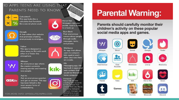#### 10 APPS TEENS ARE USING THAT PARENTS NEED TO KNOW



Calculator% This app looks like a calculator but functions like a secret photo vault.



Omegle A free online chat website that promotes chatting anonymously to strangers.

#### Yellow

Whisper

Ask.fm

This app is designed to allow teens to flirt with each other in a Tinder-like atmosphere.



#### An anonymous app where the creators promote sharing secrets and meeting new people.

**askfm** 

Ask an anonymous question and get an answer. This app has been linked to the most severe forms of cyberbullying.

FOR MORE INFO: APPSOLUTELYAPRILCOM



Hot or Not Strangers rate your profile. Goal is to lead to a hook up.

**Burn Book** Post anonymous rumors about people through audio messages, texts, and photos.

#### **Wishbone**

An app that allows users to compare kids against each other and rate them on a scale.

#### **Kik**

Messaging app. Kik has built in apps and web content that would be filtered on home computer.

Instagram Many kids are now creating fake accounts to hide content from parents. Kids also like to text using Instagram because messages are deleted once a user leaves conversation.

#### **Parental Warning:**

Parents should carefully monitor their children's activity on these popular social media apps and games.











Omegle

Tinder













Hot or Not

Minecraft



Chat Avenue Chat Roulette

Wishbone



Live.ly

Musical.ly







Games:









KIK-





Down

Fortnite

Discord



Paltalk

Tumble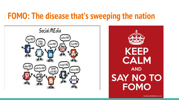### **FOMO: The disease that's sweeping the nation**



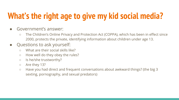# **What's the right age to give my kid social media?**

- Government's answer:
	- The Children's Online Privacy and Protection Act (COPPA), which has been in effect since 2000, protects the private, identifying information about children under age 13.
- Questions to ask yourself:
	- What are their social skills like?
	- How well do they obey the rules?
	- Is he/she trustworthy?
	- Are they 13?
	- Have you had direct and frequent conversations about awkward things? (the big 3 sexting, pornography, and sexual predators)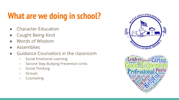# **What are we doing in school?**

- **Character Education**
- **Caught Being Kind**
- Words of Wisdom
- **Assemblies**
- Guidance Counselors in the classroom
	- Social Emotional Learning
	- Second Step Bullying Prevention Units
	- Social Thinking
	- Groups
	- Counseling



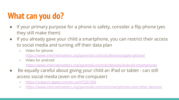## **What can you do?**

- If your primary purpose for a phone is safety, consider a flip phone (yes they still make them)
- If you already gave your child a smartphone, you can restrict their access to social media and turning off their data plan
	- Video for Iphone:

<https://www.internetmatters.org/parental-controls/devices/apple-iphone/>

○ Video for android:

<https://www.internetmatters.org/parental-controls/devices/android-smartphone/>

- Be equally careful about giving your child an iPad or tablet can still access social media (even on the computer)
	- <https://support.apple.com/en-us/HT201304>
	- <https://www.internetmatters.org/parental-controls/smartphones-and-other-devices/>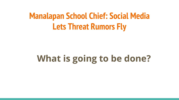### **Manalapan School Chief: Social Media Lets Threat Rumors Fly**

# **What is going to be done?**